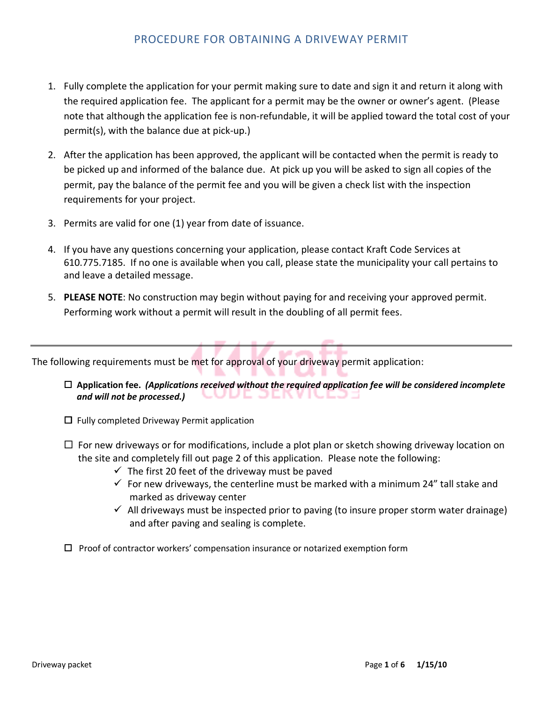# PROCEDURE FOR OBTAINING A DRIVEWAY PERMIT

- 1. Fully complete the application for your permit making sure to date and sign it and return it along with the required application fee. The applicant for a permit may be the owner or owner's agent. (Please note that although the application fee is non-refundable, it will be applied toward the total cost of your permit(s), with the balance due at pick-up.)
- 2. After the application has been approved, the applicant will be contacted when the permit is ready to be picked up and informed of the balance due. At pick up you will be asked to sign all copies of the permit, pay the balance of the permit fee and you will be given a check list with the inspection requirements for your project.
- 3. Permits are valid for one (1) year from date of issuance.
- 4. If you have any questions concerning your application, please contact Kraft Code Services at 610.775.7185. If no one is available when you call, please state the municipality your call pertains to and leave a detailed message.
- 5. **PLEASE NOTE**: No construction may begin without paying for and receiving your approved permit. Performing work without a permit will result in the doubling of all permit fees.

The following requirements must be met for approval of your driveway permit application:

- **Application fee.** *(Applications received without the required application fee will be considered incomplete*  /L JLN  *and will not be processed.)*
- □ Fully completed Driveway Permit application
- □ For new driveways or for modifications, include a plot plan or sketch showing driveway location on the site and completely fill out page 2 of this application. Please note the following:
	- $\checkmark$  The first 20 feet of the driveway must be paved
	- $\checkmark$  For new driveways, the centerline must be marked with a minimum 24" tall stake and marked as driveway center
	- $\checkmark$  All driveways must be inspected prior to paving (to insure proper storm water drainage) and after paving and sealing is complete.
- $\square$  Proof of contractor workers' compensation insurance or notarized exemption form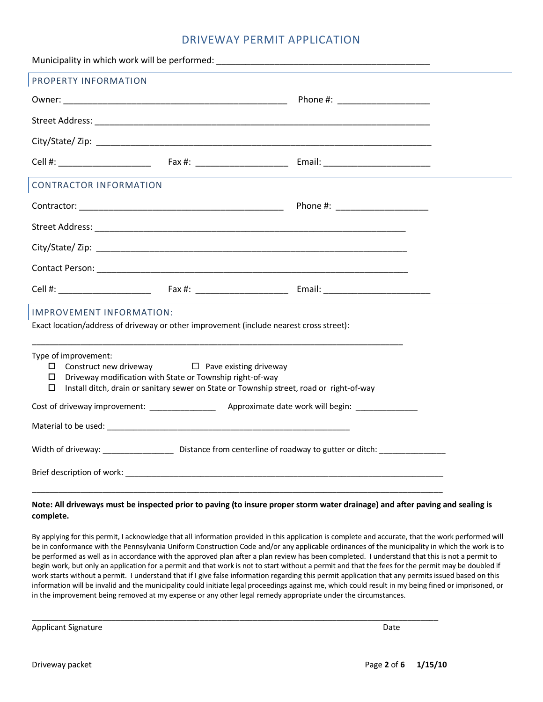# DRIVEWAY PERMIT APPLICATION

|                                                                                                                                                                                                                                                           |  | Municipality in which work will be performed: National Communication of the control of the control of the control of the control of the control of the control of the control of the control of the control of the control of |  |  |
|-----------------------------------------------------------------------------------------------------------------------------------------------------------------------------------------------------------------------------------------------------------|--|-------------------------------------------------------------------------------------------------------------------------------------------------------------------------------------------------------------------------------|--|--|
| PROPERTY INFORMATION                                                                                                                                                                                                                                      |  |                                                                                                                                                                                                                               |  |  |
|                                                                                                                                                                                                                                                           |  |                                                                                                                                                                                                                               |  |  |
|                                                                                                                                                                                                                                                           |  |                                                                                                                                                                                                                               |  |  |
|                                                                                                                                                                                                                                                           |  |                                                                                                                                                                                                                               |  |  |
|                                                                                                                                                                                                                                                           |  |                                                                                                                                                                                                                               |  |  |
| <b>CONTRACTOR INFORMATION</b>                                                                                                                                                                                                                             |  |                                                                                                                                                                                                                               |  |  |
|                                                                                                                                                                                                                                                           |  |                                                                                                                                                                                                                               |  |  |
|                                                                                                                                                                                                                                                           |  |                                                                                                                                                                                                                               |  |  |
|                                                                                                                                                                                                                                                           |  |                                                                                                                                                                                                                               |  |  |
|                                                                                                                                                                                                                                                           |  |                                                                                                                                                                                                                               |  |  |
|                                                                                                                                                                                                                                                           |  |                                                                                                                                                                                                                               |  |  |
| IMPROVEMENT INFORMATION:                                                                                                                                                                                                                                  |  |                                                                                                                                                                                                                               |  |  |
| Exact location/address of driveway or other improvement (include nearest cross street):                                                                                                                                                                   |  |                                                                                                                                                                                                                               |  |  |
| Type of improvement:<br>$\Box$ Construct new driveway $\Box$ Pave existing driveway<br>$\Box$ Driveway modification with State or Township right-of-way<br>Install ditch, drain or sanitary sewer on State or Township street, road or right-of-way<br>0. |  |                                                                                                                                                                                                                               |  |  |
|                                                                                                                                                                                                                                                           |  |                                                                                                                                                                                                                               |  |  |
|                                                                                                                                                                                                                                                           |  |                                                                                                                                                                                                                               |  |  |
|                                                                                                                                                                                                                                                           |  |                                                                                                                                                                                                                               |  |  |
|                                                                                                                                                                                                                                                           |  |                                                                                                                                                                                                                               |  |  |
|                                                                                                                                                                                                                                                           |  |                                                                                                                                                                                                                               |  |  |

#### **Note: All driveways must be inspected prior to paving (to insure proper storm water drainage) and after paving and sealing is complete.**

By applying for this permit, I acknowledge that all information provided in this application is complete and accurate, that the work performed will be in conformance with the Pennsylvania Uniform Construction Code and/or any applicable ordinances of the municipality in which the work is to be performed as well as in accordance with the approved plan after a plan review has been completed. I understand that this is not a permit to begin work, but only an application for a permit and that work is not to start without a permit and that the fees for the permit may be doubled if work starts without a permit. I understand that if I give false information regarding this permit application that any permits issued based on this information will be invalid and the municipality could initiate legal proceedings against me, which could result in my being fined or imprisoned, or in the improvement being removed at my expense or any other legal remedy appropriate under the circumstances.

\_\_\_\_\_\_\_\_\_\_\_\_\_\_\_\_\_\_\_\_\_\_\_\_\_\_\_\_\_\_\_\_\_\_\_\_\_\_\_\_\_\_\_\_\_\_\_\_\_\_\_\_\_\_\_\_\_\_\_\_\_\_\_\_\_\_\_\_\_\_\_\_\_\_\_\_\_\_\_\_\_\_\_\_\_\_\_\_\_\_\_\_

Applicant Signature Date of the Date of the Date of the Date of the Date of the Date of the Date of the Date of the Date of the Date of the Date of the Date of the Date of the Date of the Date of the Date of the Date of th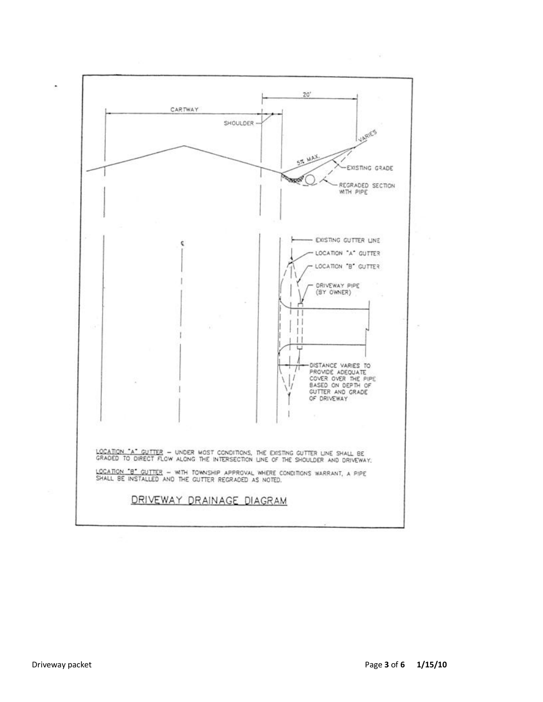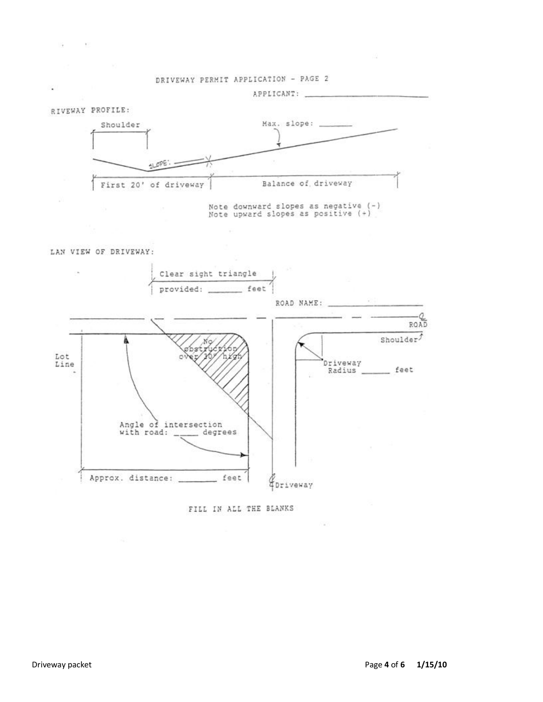

LAN VIEW OF DRIVEWAY:

 $-100$ 

×.

×



FILL IN ALL THE BLANKS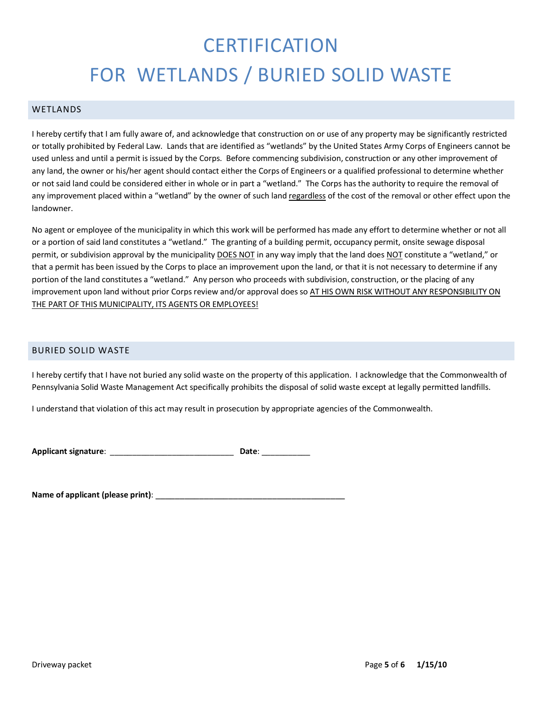# **CERTIFICATION** FOR WETLANDS / BURIED SOLID WASTE

## WETLANDS

I hereby certify that I am fully aware of, and acknowledge that construction on or use of any property may be significantly restricted or totally prohibited by Federal Law. Lands that are identified as "wetlands" by the United States Army Corps of Engineers cannot be used unless and until a permit is issued by the Corps. Before commencing subdivision, construction or any other improvement of any land, the owner or his/her agent should contact either the Corps of Engineers or a qualified professional to determine whether or not said land could be considered either in whole or in part a "wetland." The Corps has the authority to require the removal of any improvement placed within a "wetland" by the owner of such land regardless of the cost of the removal or other effect upon the landowner.

No agent or employee of the municipality in which this work will be performed has made any effort to determine whether or not all or a portion of said land constitutes a "wetland." The granting of a building permit, occupancy permit, onsite sewage disposal permit, or subdivision approval by the municipality DOES NOT in any way imply that the land does NOT constitute a "wetland," or that a permit has been issued by the Corps to place an improvement upon the land, or that it is not necessary to determine if any portion of the land constitutes a "wetland." Any person who proceeds with subdivision, construction, or the placing of any improvement upon land without prior Corps review and/or approval does so AT HIS OWN RISK WITHOUT ANY RESPONSIBILITY ON THE PART OF THIS MUNICIPALITY, ITS AGENTS OR EMPLOYEES!

## BURIED SOLID WASTE

I hereby certify that I have not buried any solid waste on the property of this application. I acknowledge that the Commonwealth of Pennsylvania Solid Waste Management Act specifically prohibits the disposal of solid waste except at legally permitted landfills.

I understand that violation of this act may result in prosecution by appropriate agencies of the Commonwealth.

| <b>Applicant signature:</b> |  | Date: |
|-----------------------------|--|-------|
|-----------------------------|--|-------|

Name of applicant (please print):